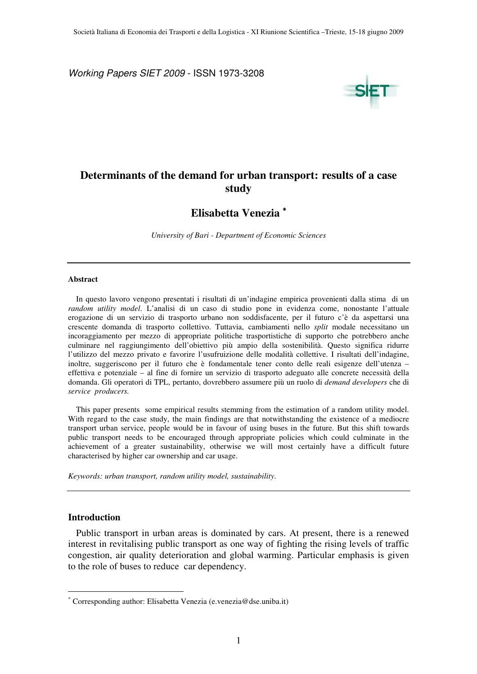Working Papers SIET 2009 - ISSN 1973-3208



# **Determinants of the demand for urban transport: results of a case study**

### **Elisabetta Venezia** <sup>∗</sup>

*University of Bari - Department of Economic Sciences* 

#### **Abstract**

In questo lavoro vengono presentati i risultati di un'indagine empirica provenienti dalla stima di un *random utility model*. L'analisi di un caso di studio pone in evidenza come, nonostante l'attuale erogazione di un servizio di trasporto urbano non soddisfacente, per il futuro c'è da aspettarsi una crescente domanda di trasporto collettivo. Tuttavia, cambiamenti nello *split* modale necessitano un incoraggiamento per mezzo di appropriate politiche trasportistiche di supporto che potrebbero anche culminare nel raggiungimento dell'obiettivo più ampio della sostenibilità. Questo significa ridurre l'utilizzo del mezzo privato e favorire l'usufruizione delle modalità collettive. I risultati dell'indagine, inoltre, suggeriscono per il futuro che è fondamentale tener conto delle reali esigenze dell'utenza – effettiva e potenziale – al fine di fornire un servizio di trasporto adeguato alle concrete necessità della domanda. Gli operatori di TPL, pertanto, dovrebbero assumere più un ruolo di *demand developers* che di *service producers.* 

This paper presents some empirical results stemming from the estimation of a random utility model. With regard to the case study, the main findings are that notwithstanding the existence of a mediocre transport urban service, people would be in favour of using buses in the future. But this shift towards public transport needs to be encouraged through appropriate policies which could culminate in the achievement of a greater sustainability, otherwise we will most certainly have a difficult future characterised by higher car ownership and car usage.

*Keywords: urban transport, random utility model, sustainability*.

#### **Introduction**

 $\overline{a}$ 

Public transport in urban areas is dominated by cars. At present, there is a renewed interest in revitalising public transport as one way of fighting the rising levels of traffic congestion, air quality deterioration and global warming. Particular emphasis is given to the role of buses to reduce car dependency.

<sup>∗</sup> Corresponding author: Elisabetta Venezia (e.venezia@dse.uniba.it)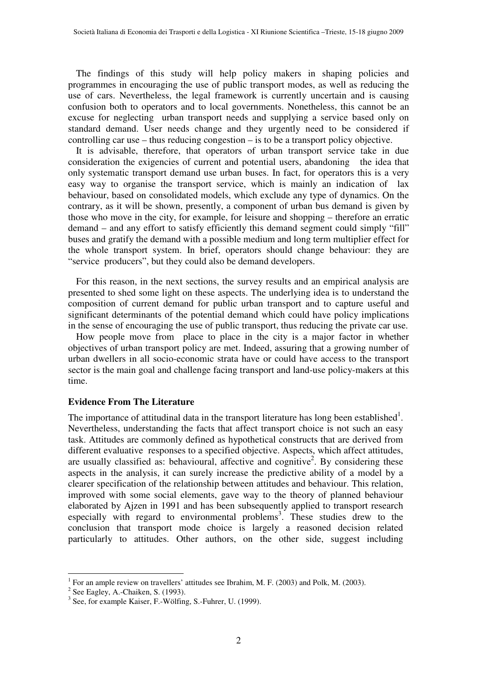The findings of this study will help policy makers in shaping policies and programmes in encouraging the use of public transport modes, as well as reducing the use of cars. Nevertheless, the legal framework is currently uncertain and is causing confusion both to operators and to local governments. Nonetheless, this cannot be an excuse for neglecting urban transport needs and supplying a service based only on standard demand. User needs change and they urgently need to be considered if controlling car use – thus reducing congestion – is to be a transport policy objective.

It is advisable, therefore, that operators of urban transport service take in due consideration the exigencies of current and potential users, abandoning the idea that only systematic transport demand use urban buses. In fact, for operators this is a very easy way to organise the transport service, which is mainly an indication of lax behaviour, based on consolidated models, which exclude any type of dynamics. On the contrary, as it will be shown, presently, a component of urban bus demand is given by those who move in the city, for example, for leisure and shopping – therefore an erratic demand – and any effort to satisfy efficiently this demand segment could simply "fill" buses and gratify the demand with a possible medium and long term multiplier effect for the whole transport system. In brief, operators should change behaviour: they are "service producers", but they could also be demand developers.

For this reason, in the next sections, the survey results and an empirical analysis are presented to shed some light on these aspects. The underlying idea is to understand the composition of current demand for public urban transport and to capture useful and significant determinants of the potential demand which could have policy implications in the sense of encouraging the use of public transport, thus reducing the private car use.

How people move from place to place in the city is a major factor in whether objectives of urban transport policy are met. Indeed, assuring that a growing number of urban dwellers in all socio-economic strata have or could have access to the transport sector is the main goal and challenge facing transport and land-use policy-makers at this time.

### **Evidence From The Literature**

The importance of attitudinal data in the transport literature has long been established<sup>1</sup>. Nevertheless, understanding the facts that affect transport choice is not such an easy task. Attitudes are commonly defined as hypothetical constructs that are derived from different evaluative responses to a specified objective. Aspects, which affect attitudes, are usually classified as: behavioural, affective and cognitive<sup>2</sup>. By considering these aspects in the analysis, it can surely increase the predictive ability of a model by a clearer specification of the relationship between attitudes and behaviour. This relation, improved with some social elements, gave way to the theory of planned behaviour elaborated by Ajzen in 1991 and has been subsequently applied to transport research especially with regard to environmental problems<sup>3</sup>. These studies drew to the conclusion that transport mode choice is largely a reasoned decision related particularly to attitudes. Other authors, on the other side, suggest including

 1 For an ample review on travellers' attitudes see Ibrahim, M. F. (2003) and Polk, M. (2003).

 $2$  See Eagley, A.-Chaiken, S. (1993).

<sup>&</sup>lt;sup>3</sup> See, for example Kaiser, F.-Wölfing, S.-Fuhrer, U. (1999).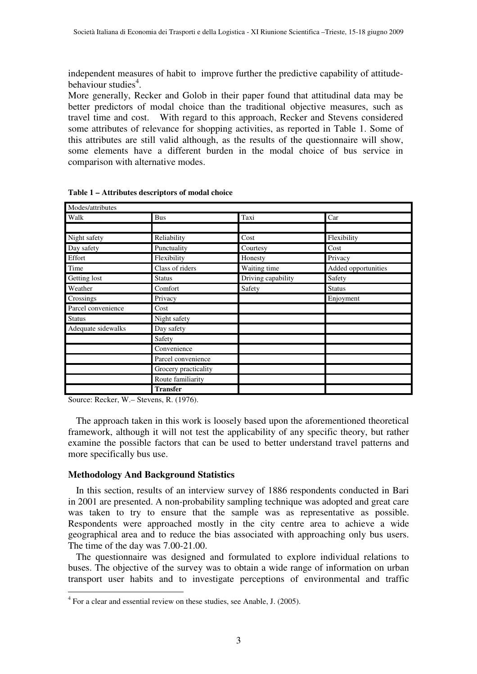independent measures of habit to improve further the predictive capability of attitudebehaviour studies<sup>4</sup>.

More generally, Recker and Golob in their paper found that attitudinal data may be better predictors of modal choice than the traditional objective measures, such as travel time and cost. With regard to this approach, Recker and Stevens considered some attributes of relevance for shopping activities, as reported in Table 1. Some of this attributes are still valid although, as the results of the questionnaire will show, some elements have a different burden in the modal choice of bus service in comparison with alternative modes.

| Modes/attributes   |                      |                    |                     |  |  |
|--------------------|----------------------|--------------------|---------------------|--|--|
| Walk               | <b>Bus</b>           | Taxi               | Car                 |  |  |
|                    |                      |                    |                     |  |  |
| Night safety       | Reliability          | Cost               | Flexibility         |  |  |
| Day safety         | Punctuality          | Courtesy           | Cost                |  |  |
| Effort             | Flexibility          | Honesty            | Privacy             |  |  |
| Time               | Class of riders      | Waiting time       | Added opportunities |  |  |
| Getting lost       | <b>Status</b>        | Driving capability | Safety              |  |  |
| Weather            | Comfort              | Safety             | <b>Status</b>       |  |  |
| Crossings          | Privacy              |                    | Enjoyment           |  |  |
| Parcel convenience | Cost                 |                    |                     |  |  |
| <b>Status</b>      | Night safety         |                    |                     |  |  |
| Adequate sidewalks | Day safety           |                    |                     |  |  |
|                    | Safety               |                    |                     |  |  |
|                    | Convenience          |                    |                     |  |  |
|                    | Parcel convenience   |                    |                     |  |  |
|                    | Grocery practicality |                    |                     |  |  |
|                    | Route familiarity    |                    |                     |  |  |
|                    | <b>Transfer</b>      |                    |                     |  |  |

**Table 1 – Attributes descriptors of modal choice** 

Source: Recker, W.– Stevens, R. (1976).

The approach taken in this work is loosely based upon the aforementioned theoretical framework, although it will not test the applicability of any specific theory, but rather examine the possible factors that can be used to better understand travel patterns and more specifically bus use.

### **Methodology And Background Statistics**

In this section, results of an interview survey of 1886 respondents conducted in Bari in 2001 are presented. A non-probability sampling technique was adopted and great care was taken to try to ensure that the sample was as representative as possible. Respondents were approached mostly in the city centre area to achieve a wide geographical area and to reduce the bias associated with approaching only bus users. The time of the day was 7.00-21.00.

The questionnaire was designed and formulated to explore individual relations to buses. The objective of the survey was to obtain a wide range of information on urban transport user habits and to investigate perceptions of environmental and traffic

 4 For a clear and essential review on these studies, see Anable, J. (2005).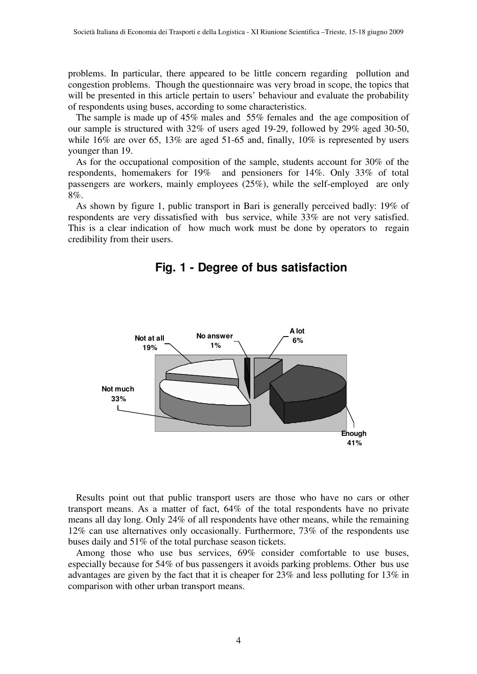problems. In particular, there appeared to be little concern regarding pollution and congestion problems. Though the questionnaire was very broad in scope, the topics that will be presented in this article pertain to users' behaviour and evaluate the probability of respondents using buses, according to some characteristics.

The sample is made up of 45% males and 55% females and the age composition of our sample is structured with 32% of users aged 19-29, followed by 29% aged 30-50, while 16% are over 65, 13% are aged 51-65 and, finally, 10% is represented by users younger than 19.

As for the occupational composition of the sample, students account for 30% of the respondents, homemakers for 19% and pensioners for 14%. Only 33% of total passengers are workers, mainly employees (25%), while the self-employed are only 8%.

As shown by figure 1, public transport in Bari is generally perceived badly: 19% of respondents are very dissatisfied with bus service, while 33% are not very satisfied. This is a clear indication of how much work must be done by operators to regain credibility from their users.

## **Fig. 1 - Degree of bus satisfaction**



Results point out that public transport users are those who have no cars or other transport means. As a matter of fact, 64% of the total respondents have no private means all day long. Only 24% of all respondents have other means, while the remaining 12% can use alternatives only occasionally. Furthermore, 73% of the respondents use buses daily and 51% of the total purchase season tickets.

Among those who use bus services, 69% consider comfortable to use buses, especially because for 54% of bus passengers it avoids parking problems. Other bus use advantages are given by the fact that it is cheaper for 23% and less polluting for 13% in comparison with other urban transport means.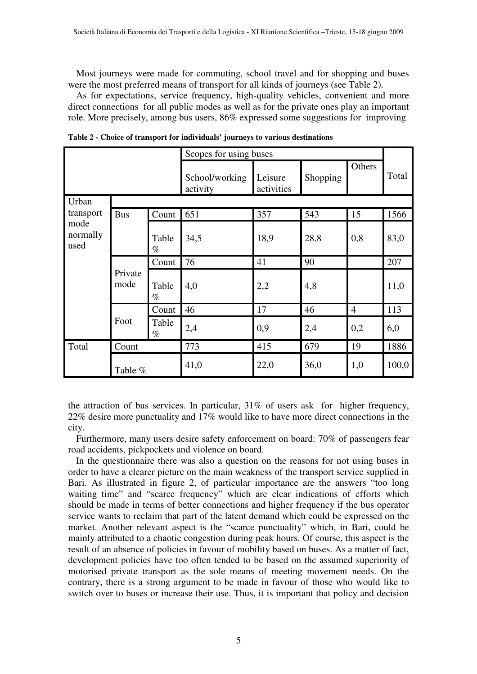Most journeys were made for commuting, school travel and for shopping and buses were the most preferred means of transport for all kinds of journeys (see Table 2).

As for expectations, service frequency, high-quality vehicles, convenient and more direct connections for all public modes as well as for the private ones play an important role. More precisely, among bus users, 86% expressed some suggestions for improving

|                          |                 |               | Scopes for using buses     |                       |          |                |       |  |
|--------------------------|-----------------|---------------|----------------------------|-----------------------|----------|----------------|-------|--|
|                          |                 |               | School/working<br>activity | Leisure<br>activities | Shopping | Others         | Total |  |
| Urban                    |                 |               |                            |                       |          |                |       |  |
| transport                | <b>Bus</b>      | Count         | 651                        | 357                   | 543      | 15             | 1566  |  |
| mode<br>normally<br>used |                 | Table<br>$\%$ | 34,5                       | 18,9                  | 28,8     | 0,8            | 83,0  |  |
|                          | Private<br>mode | Count         | 76                         | 41                    | 90       |                | 207   |  |
|                          |                 | Table<br>$\%$ | 4,0                        | 2,2                   | 4,8      |                | 11,0  |  |
|                          |                 | Count         | 46                         | 17                    | 46       | $\overline{4}$ | 113   |  |
|                          | Foot            | Table<br>$\%$ | 2,4                        | 0,9                   | 2,4      | 0,2            | 6,0   |  |
| Total                    | Count           |               | 773                        | 415                   | 679      | 19             | 1886  |  |
|                          | Table %         |               | 41,0                       | 22,0                  | 36,0     | 1,0            | 100,0 |  |

**Table 2 - Choice of transport for individuals' journeys to various destinations** 

the attraction of bus services. In particular, 31% of users ask for higher frequency, 22% desire more punctuality and 17% would like to have more direct connections in the city.

Furthermore, many users desire safety enforcement on board: 70% of passengers fear road accidents, pickpockets and violence on board.

In the questionnaire there was also a question on the reasons for not using buses in order to have a clearer picture on the main weakness of the transport service supplied in Bari. As illustrated in figure 2, of particular importance are the answers "too long waiting time" and "scarce frequency" which are clear indications of efforts which should be made in terms of better connections and higher frequency if the bus operator service wants to reclaim that part of the latent demand which could be expressed on the market. Another relevant aspect is the "scarce punctuality" which, in Bari, could be mainly attributed to a chaotic congestion during peak hours. Of course, this aspect is the result of an absence of policies in favour of mobility based on buses. As a matter of fact, development policies have too often tended to be based on the assumed superiority of motorised private transport as the sole means of meeting movement needs. On the contrary, there is a strong argument to be made in favour of those who would like to switch over to buses or increase their use. Thus, it is important that policy and decision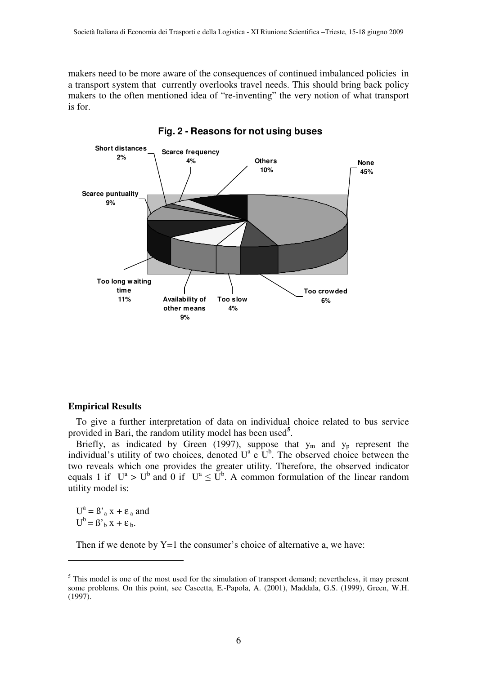makers need to be more aware of the consequences of continued imbalanced policies in a transport system that currently overlooks travel needs. This should bring back policy makers to the often mentioned idea of "re-inventing" the very notion of what transport is for.



**Fig. 2 - Reasons for not using buses** 

### **Empirical Results**

To give a further interpretation of data on individual choice related to bus service provided in Bari, the random utility model has been used**<sup>5</sup>** .

Briefly, as indicated by Green (1997), suppose that  $y_m$  and  $y_p$  represent the individual's utility of two choices, denoted  $U^a \in U^b$ . The observed choice between the two reveals which one provides the greater utility. Therefore, the observed indicator equals 1 if  $U^a > U^b$  and 0 if  $U^a \leq U^b$ . A common formulation of the linear random utility model is:

 $U^a = \beta' a x + \varepsilon_a$  and  $U^b = B'_b x + \varepsilon_b.$ 

 $\overline{a}$ 

Then if we denote by Y=1 the consumer's choice of alternative a, we have:

 $<sup>5</sup>$  This model is one of the most used for the simulation of transport demand; nevertheless, it may present</sup> some problems. On this point, see Cascetta, E.-Papola, A. (2001), Maddala, G.S. (1999), Green, W.H. (1997).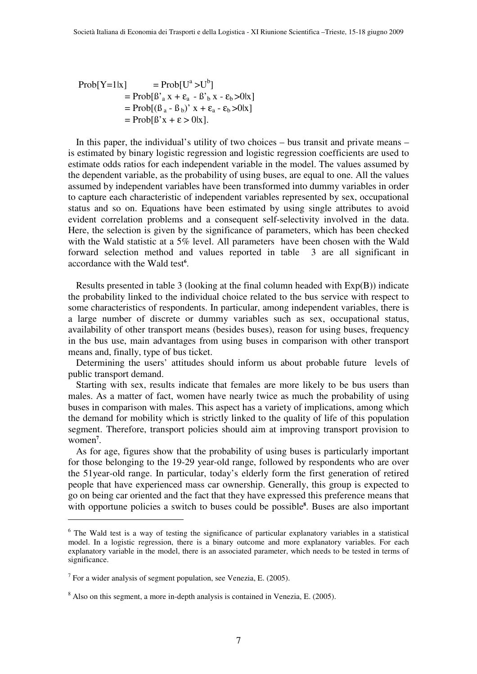$$
\begin{aligned} \text{Prob}[Y=1|x] &= \text{Prob}[U^a > U^b] \\ &= \text{Prob}[\beta_a x + \varepsilon_a - \beta_b x - \varepsilon_b > 0|x] \\ &= \text{Prob}[(\beta_a - \beta_b)^2 x + \varepsilon_a - \varepsilon_b > 0|x] \\ &= \text{Prob}[\beta^x x + \varepsilon > 0|x] \end{aligned}
$$

In this paper, the individual's utility of two choices – bus transit and private means – is estimated by binary logistic regression and logistic regression coefficients are used to estimate odds ratios for each independent variable in the model. The values assumed by the dependent variable, as the probability of using buses, are equal to one. All the values assumed by independent variables have been transformed into dummy variables in order to capture each characteristic of independent variables represented by sex, occupational status and so on. Equations have been estimated by using single attributes to avoid evident correlation problems and a consequent self-selectivity involved in the data. Here, the selection is given by the significance of parameters, which has been checked with the Wald statistic at a 5% level. All parameters have been chosen with the Wald forward selection method and values reported in table 3 are all significant in accordance with the Wald test**<sup>6</sup>** .

Results presented in table 3 (looking at the final column headed with Exp(B)) indicate the probability linked to the individual choice related to the bus service with respect to some characteristics of respondents. In particular, among independent variables, there is a large number of discrete or dummy variables such as sex, occupational status, availability of other transport means (besides buses), reason for using buses, frequency in the bus use, main advantages from using buses in comparison with other transport means and, finally, type of bus ticket.

Determining the users' attitudes should inform us about probable future levels of public transport demand.

Starting with sex, results indicate that females are more likely to be bus users than males. As a matter of fact, women have nearly twice as much the probability of using buses in comparison with males. This aspect has a variety of implications, among which the demand for mobility which is strictly linked to the quality of life of this population segment. Therefore, transport policies should aim at improving transport provision to women**<sup>7</sup>** .

As for age, figures show that the probability of using buses is particularly important for those belonging to the 19-29 year-old range, followed by respondents who are over the 51year-old range. In particular, today's elderly form the first generation of retired people that have experienced mass car ownership. Generally, this group is expected to go on being car oriented and the fact that they have expressed this preference means that with opportune policies a switch to buses could be possible<sup>8</sup>. Buses are also important

 $\overline{a}$ 

<sup>&</sup>lt;sup>6</sup> The Wald test is a way of testing the significance of particular explanatory variables in a statistical model. In a logistic regression, there is a binary outcome and more explanatory variables. For each explanatory variable in the model, there is an associated parameter, which needs to be tested in terms of significance.

 $<sup>7</sup>$  For a wider analysis of segment population, see Venezia, E. (2005).</sup>

 $8$  Also on this segment, a more in-depth analysis is contained in Venezia, E. (2005).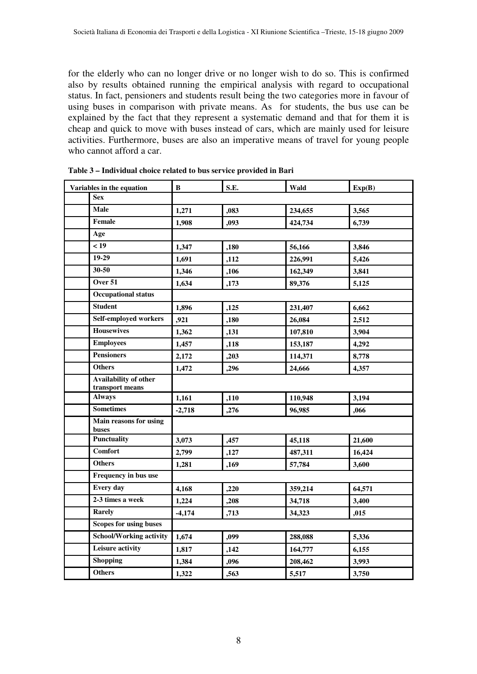for the elderly who can no longer drive or no longer wish to do so. This is confirmed also by results obtained running the empirical analysis with regard to occupational status. In fact, pensioners and students result being the two categories more in favour of using buses in comparison with private means. As for students, the bus use can be explained by the fact that they represent a systematic demand and that for them it is cheap and quick to move with buses instead of cars, which are mainly used for leisure activities. Furthermore, buses are also an imperative means of travel for young people who cannot afford a car.

| Variables in the equation |                                          | В        | S.E. | Wald    | Exp(B) |
|---------------------------|------------------------------------------|----------|------|---------|--------|
|                           | <b>Sex</b>                               |          |      |         |        |
|                           | Male                                     | 1,271    | ,083 | 234,655 | 3,565  |
|                           | <b>Female</b>                            | 1,908    | ,093 | 424,734 | 6,739  |
|                           | Age                                      |          |      |         |        |
|                           | < 19                                     | 1,347    | ,180 | 56,166  | 3,846  |
|                           | 19-29                                    | 1,691    | ,112 | 226,991 | 5,426  |
|                           | $30 - 50$                                | 1,346    | ,106 | 162,349 | 3,841  |
|                           | Over 51                                  | 1,634    | ,173 | 89,376  | 5,125  |
|                           | <b>Occupational status</b>               |          |      |         |        |
|                           | <b>Student</b>                           | 1,896    | ,125 | 231,407 | 6,662  |
|                           | Self-employed workers                    | ,921     | ,180 | 26,084  | 2,512  |
|                           | <b>Housewives</b>                        | 1,362    | ,131 | 107,810 | 3,904  |
|                           | <b>Employees</b>                         | 1,457    | ,118 | 153,187 | 4,292  |
|                           | <b>Pensioners</b>                        | 2,172    | ,203 | 114,371 | 8,778  |
|                           | <b>Others</b>                            | 1,472    | ,296 | 24,666  | 4,357  |
|                           | Availability of other<br>transport means |          |      |         |        |
|                           | <b>Always</b>                            | 1,161    | ,110 | 110,948 | 3,194  |
|                           | <b>Sometimes</b>                         | $-2,718$ | ,276 | 96,985  | ,066   |
|                           | Main reasons for using<br>buses          |          |      |         |        |
|                           | <b>Punctuality</b>                       | 3,073    | ,457 | 45,118  | 21,600 |
|                           | <b>Comfort</b>                           | 2,799    | ,127 | 487,311 | 16,424 |
|                           | <b>Others</b>                            | 1,281    | ,169 | 57,784  | 3,600  |
|                           | Frequency in bus use                     |          |      |         |        |
|                           | <b>Every day</b>                         | 4,168    | ,220 | 359,214 | 64,571 |
|                           | 2-3 times a week                         | 1,224    | ,208 | 34,718  | 3,400  |
|                           | Rarely                                   | $-4,174$ | ,713 | 34,323  | ,015   |
|                           | <b>Scopes for using buses</b>            |          |      |         |        |
|                           | <b>School/Working activity</b>           | 1,674    | ,099 | 288,088 | 5,336  |
|                           | Leisure activity                         | 1,817    | ,142 | 164,777 | 6,155  |
|                           | <b>Shopping</b>                          | 1,384    | ,096 | 208,462 | 3,993  |
|                           | <b>Others</b>                            | 1,322    | ,563 | 5,517   | 3,750  |

**Table 3 – Individual choice related to bus service provided in Bari**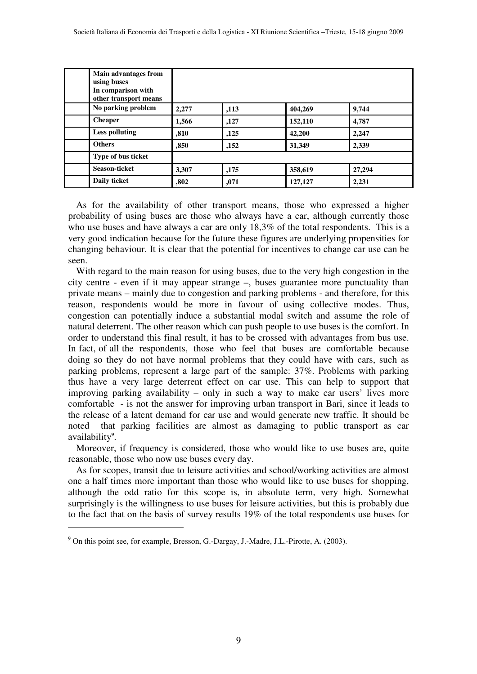| Main advantages from<br>using buses<br>In comparison with<br>other transport means |       |      |         |        |
|------------------------------------------------------------------------------------|-------|------|---------|--------|
| No parking problem                                                                 | 2.277 | ,113 | 404,269 | 9,744  |
| <b>Cheaper</b>                                                                     | 1,566 | ,127 | 152,110 | 4,787  |
| <b>Less polluting</b>                                                              | ,810  | ,125 | 42,200  | 2,247  |
| <b>Others</b>                                                                      | ,850  | ,152 | 31,349  | 2,339  |
| Type of bus ticket                                                                 |       |      |         |        |
| Season-ticket                                                                      | 3,307 | ,175 | 358,619 | 27,294 |
| Daily ticket                                                                       | ,802  | ,071 | 127,127 | 2,231  |

As for the availability of other transport means, those who expressed a higher probability of using buses are those who always have a car, although currently those who use buses and have always a car are only 18,3% of the total respondents. This is a very good indication because for the future these figures are underlying propensities for changing behaviour. It is clear that the potential for incentives to change car use can be seen.

With regard to the main reason for using buses, due to the very high congestion in the city centre - even if it may appear strange –, buses guarantee more punctuality than private means – mainly due to congestion and parking problems - and therefore, for this reason, respondents would be more in favour of using collective modes. Thus, congestion can potentially induce a substantial modal switch and assume the role of natural deterrent. The other reason which can push people to use buses is the comfort. In order to understand this final result, it has to be crossed with advantages from bus use. In fact, of all the respondents, those who feel that buses are comfortable because doing so they do not have normal problems that they could have with cars, such as parking problems, represent a large part of the sample: 37%. Problems with parking thus have a very large deterrent effect on car use. This can help to support that improving parking availability – only in such a way to make car users' lives more comfortable - is not the answer for improving urban transport in Bari, since it leads to the release of a latent demand for car use and would generate new traffic. It should be noted that parking facilities are almost as damaging to public transport as car availability**<sup>9</sup>** .

Moreover, if frequency is considered, those who would like to use buses are, quite reasonable, those who now use buses every day.

As for scopes, transit due to leisure activities and school/working activities are almost one a half times more important than those who would like to use buses for shopping, although the odd ratio for this scope is, in absolute term, very high. Somewhat surprisingly is the willingness to use buses for leisure activities, but this is probably due to the fact that on the basis of survey results 19% of the total respondents use buses for

 $\overline{a}$ 

<sup>&</sup>lt;sup>9</sup> On this point see, for example, Bresson, G.-Dargay, J.-Madre, J.L.-Pirotte, A. (2003).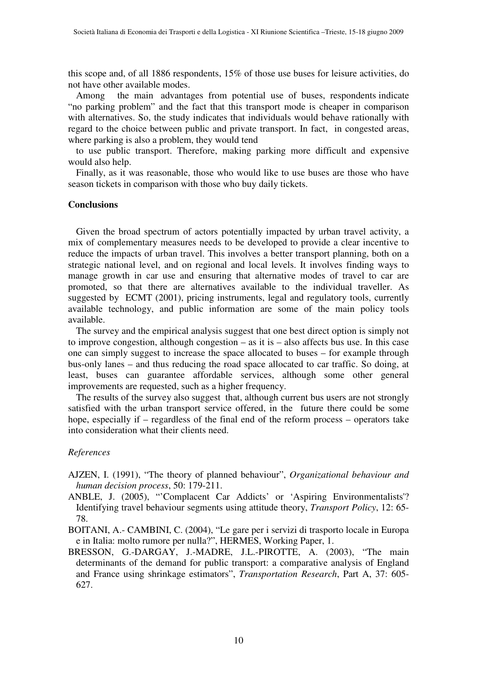this scope and, of all 1886 respondents, 15% of those use buses for leisure activities, do not have other available modes.

Among the main advantages from potential use of buses, respondents indicate "no parking problem" and the fact that this transport mode is cheaper in comparison with alternatives. So, the study indicates that individuals would behave rationally with regard to the choice between public and private transport. In fact, in congested areas, where parking is also a problem, they would tend

to use public transport. Therefore, making parking more difficult and expensive would also help.

Finally, as it was reasonable, those who would like to use buses are those who have season tickets in comparison with those who buy daily tickets.

### **Conclusions**

Given the broad spectrum of actors potentially impacted by urban travel activity, a mix of complementary measures needs to be developed to provide a clear incentive to reduce the impacts of urban travel. This involves a better transport planning, both on a strategic national level, and on regional and local levels. It involves finding ways to manage growth in car use and ensuring that alternative modes of travel to car are promoted, so that there are alternatives available to the individual traveller. As suggested by ECMT (2001), pricing instruments, legal and regulatory tools, currently available technology, and public information are some of the main policy tools available.

The survey and the empirical analysis suggest that one best direct option is simply not to improve congestion, although congestion – as it is – also affects bus use. In this case one can simply suggest to increase the space allocated to buses – for example through bus-only lanes – and thus reducing the road space allocated to car traffic. So doing, at least, buses can guarantee affordable services, although some other general improvements are requested, such as a higher frequency.

The results of the survey also suggest that, although current bus users are not strongly satisfied with the urban transport service offered, in the future there could be some hope, especially if – regardless of the final end of the reform process – operators take into consideration what their clients need.

### *References*

AJZEN, I. (1991), "The theory of planned behaviour", *Organizational behaviour and human decision process*, 50: 179-211.

- ANBLE, J. (2005), "'Complacent Car Addicts' or 'Aspiring Environmentalists'? Identifying travel behaviour segments using attitude theory, *Transport Policy*, 12: 65- 78.
- BOITANI, A.- CAMBINI, C. (2004), "Le gare per i servizi di trasporto locale in Europa e in Italia: molto rumore per nulla?", HERMES, Working Paper, 1.
- BRESSON, G.-DARGAY, J.-MADRE, J.L.-PIROTTE, A. (2003), "The main determinants of the demand for public transport: a comparative analysis of England and France using shrinkage estimators", *Transportation Research*, Part A, 37: 605- 627.